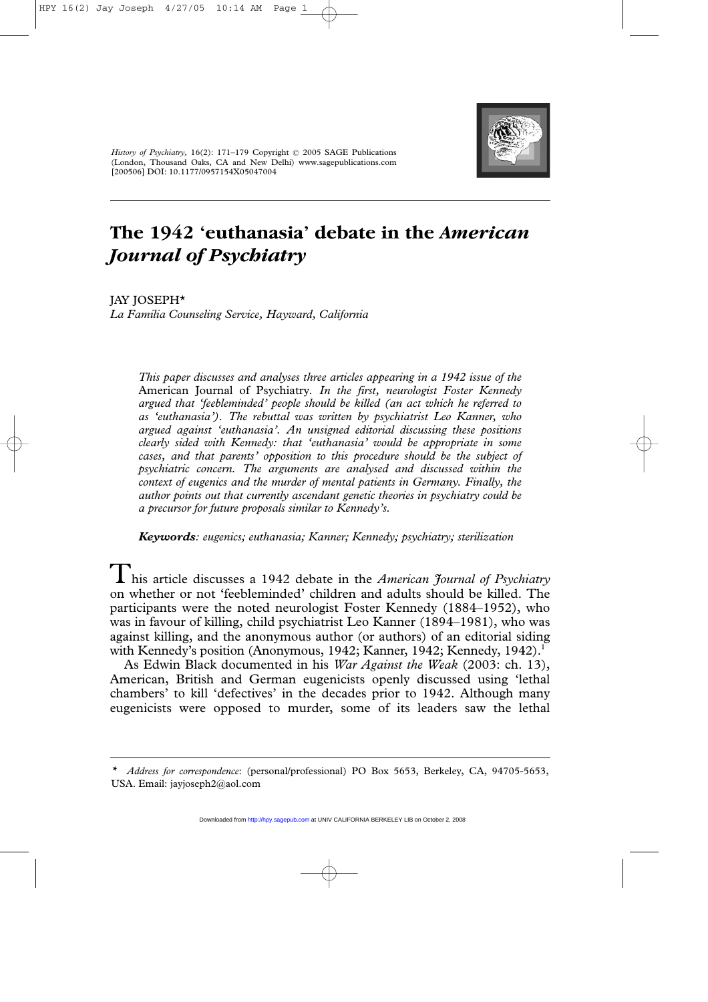

*History of Psychiatry,* 16(2): 171–179 Copyright © 2005 SAGE Publications (London, Thousand Oaks, CA and New Delhi) www.sagepublications.com [200506] DOI: 10.1177/0957154X05047004

# **The 1942 'euthanasia' debate in the** *American Journal of Psychiatry*

JAY JOSEPH\* *La Familia Counseling Service, Hayward, California*

> *This paper discusses and analyses three articles appearing in a 1942 issue of the* American Journal of Psychiatry*. In the first, neurologist Foster Kennedy argued that 'feebleminded' people should be killed (an act which he referred to as 'euthanasia'). The rebuttal was written by psychiatrist Leo Kanner, who argued against 'euthanasia'. An unsigned editorial discussing these positions clearly sided with Kennedy: that 'euthanasia' would be appropriate in some cases, and that parents' opposition to this procedure should be the subject of psychiatric concern. The arguments are analysed and discussed within the context of eugenics and the murder of mental patients in Germany. Finally, the author points out that currently ascendant genetic theories in psychiatry could be a precursor for future proposals similar to Kennedy's.*

*Keywords: eugenics; euthanasia; Kanner; Kennedy; psychiatry; sterilization* 

This article discusses a 1942 debate in the *American Journal of Psychiatry* on whether or not 'feebleminded' children and adults should be killed. The participants were the noted neurologist Foster Kennedy (1884–1952), who was in favour of killing, child psychiatrist Leo Kanner (1894–1981), who was against killing, and the anonymous author (or authors) of an editorial siding with Kennedy's position (Anonymous, 1942; Kanner, 1942; Kennedy, 1942).<sup>1</sup>

As Edwin Black documented in his *War Against the Weak* (2003: ch. 13), American, British and German eugenicists openly discussed using 'lethal chambers' to kill 'defectives' in the decades prior to 1942. Although many eugenicists were opposed to murder, some of its leaders saw the lethal

*<sup>\*</sup> Address for correspondence*: (personal/professional) PO Box 5653, Berkeley, CA, 94705-5653, USA. Email: jayjoseph2@aol.com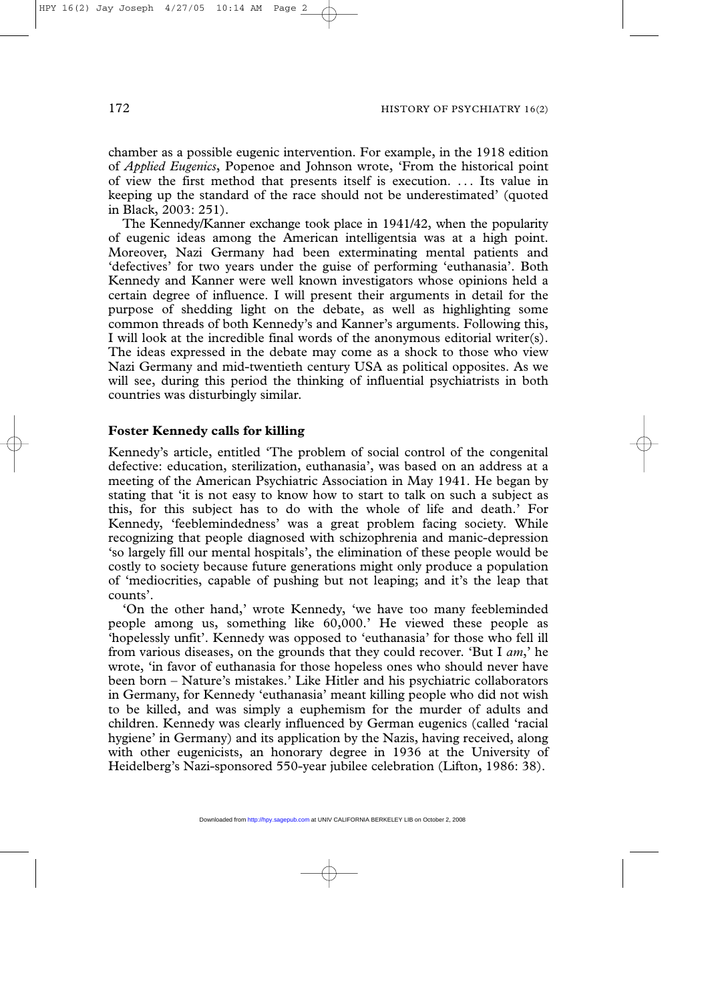chamber as a possible eugenic intervention. For example, in the 1918 edition of *Applied Eugenics*, Popenoe and Johnson wrote, 'From the historical point of view the first method that presents itself is execution. ... Its value in keeping up the standard of the race should not be underestimated' (quoted in Black, 2003: 251).

The Kennedy/Kanner exchange took place in 1941/42, when the popularity of eugenic ideas among the American intelligentsia was at a high point. Moreover, Nazi Germany had been exterminating mental patients and 'defectives' for two years under the guise of performing 'euthanasia'. Both Kennedy and Kanner were well known investigators whose opinions held a certain degree of influence. I will present their arguments in detail for the purpose of shedding light on the debate, as well as highlighting some common threads of both Kennedy's and Kanner's arguments. Following this, I will look at the incredible final words of the anonymous editorial writer(s). The ideas expressed in the debate may come as a shock to those who view Nazi Germany and mid-twentieth century USA as political opposites. As we will see, during this period the thinking of influential psychiatrists in both countries was disturbingly similar.

## **Foster Kennedy calls for killing**

Kennedy's article, entitled 'The problem of social control of the congenital defective: education, sterilization, euthanasia', was based on an address at a meeting of the American Psychiatric Association in May 1941. He began by stating that 'it is not easy to know how to start to talk on such a subject as this, for this subject has to do with the whole of life and death.' For Kennedy, 'feeblemindedness' was a great problem facing society. While recognizing that people diagnosed with schizophrenia and manic-depression 'so largely fill our mental hospitals', the elimination of these people would be costly to society because future generations might only produce a population of 'mediocrities, capable of pushing but not leaping; and it's the leap that counts'.

'On the other hand,' wrote Kennedy, 'we have too many feebleminded people among us, something like 60,000.' He viewed these people as 'hopelessly unfit'. Kennedy was opposed to 'euthanasia' for those who fell ill from various diseases, on the grounds that they could recover. 'But I *am*,' he wrote, 'in favor of euthanasia for those hopeless ones who should never have been born – Nature's mistakes.' Like Hitler and his psychiatric collaborators in Germany, for Kennedy 'euthanasia' meant killing people who did not wish to be killed, and was simply a euphemism for the murder of adults and children. Kennedy was clearly influenced by German eugenics (called 'racial hygiene' in Germany) and its application by the Nazis, having received, along with other eugenicists, an honorary degree in 1936 at the University of Heidelberg's Nazi-sponsored 550-year jubilee celebration (Lifton, 1986: 38).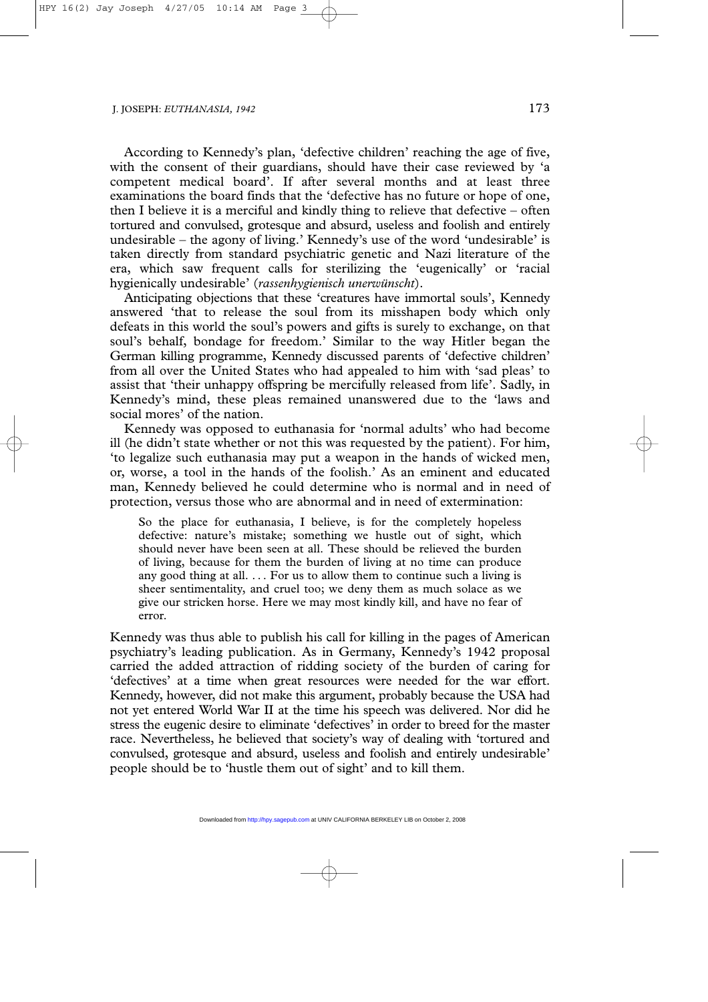According to Kennedy's plan, 'defective children' reaching the age of five, with the consent of their guardians, should have their case reviewed by 'a competent medical board'. If after several months and at least three examinations the board finds that the 'defective has no future or hope of one, then I believe it is a merciful and kindly thing to relieve that defective – often tortured and convulsed, grotesque and absurd, useless and foolish and entirely undesirable – the agony of living.' Kennedy's use of the word 'undesirable' is taken directly from standard psychiatric genetic and Nazi literature of the era, which saw frequent calls for sterilizing the 'eugenically' or 'racial hygienically undesirable' (*rassenhygienisch unerwünscht*).

Anticipating objections that these 'creatures have immortal souls', Kennedy answered 'that to release the soul from its misshapen body which only defeats in this world the soul's powers and gifts is surely to exchange, on that soul's behalf, bondage for freedom.' Similar to the way Hitler began the German killing programme, Kennedy discussed parents of 'defective children' from all over the United States who had appealed to him with 'sad pleas' to assist that 'their unhappy offspring be mercifully released from life'. Sadly, in Kennedy's mind, these pleas remained unanswered due to the 'laws and social mores' of the nation.

Kennedy was opposed to euthanasia for 'normal adults' who had become ill (he didn't state whether or not this was requested by the patient). For him, 'to legalize such euthanasia may put a weapon in the hands of wicked men, or, worse, a tool in the hands of the foolish.' As an eminent and educated man, Kennedy believed he could determine who is normal and in need of protection, versus those who are abnormal and in need of extermination:

So the place for euthanasia, I believe, is for the completely hopeless defective: nature's mistake; something we hustle out of sight, which should never have been seen at all. These should be relieved the burden of living, because for them the burden of living at no time can produce any good thing at all.  $\ldots$  For us to allow them to continue such a living is sheer sentimentality, and cruel too; we deny them as much solace as we give our stricken horse. Here we may most kindly kill, and have no fear of error.

Kennedy was thus able to publish his call for killing in the pages of American psychiatry's leading publication. As in Germany, Kennedy's 1942 proposal carried the added attraction of ridding society of the burden of caring for 'defectives' at a time when great resources were needed for the war effort. Kennedy, however, did not make this argument, probably because the USA had not yet entered World War II at the time his speech was delivered. Nor did he stress the eugenic desire to eliminate 'defectives' in order to breed for the master race. Nevertheless, he believed that society's way of dealing with 'tortured and convulsed, grotesque and absurd, useless and foolish and entirely undesirable' people should be to 'hustle them out of sight' and to kill them.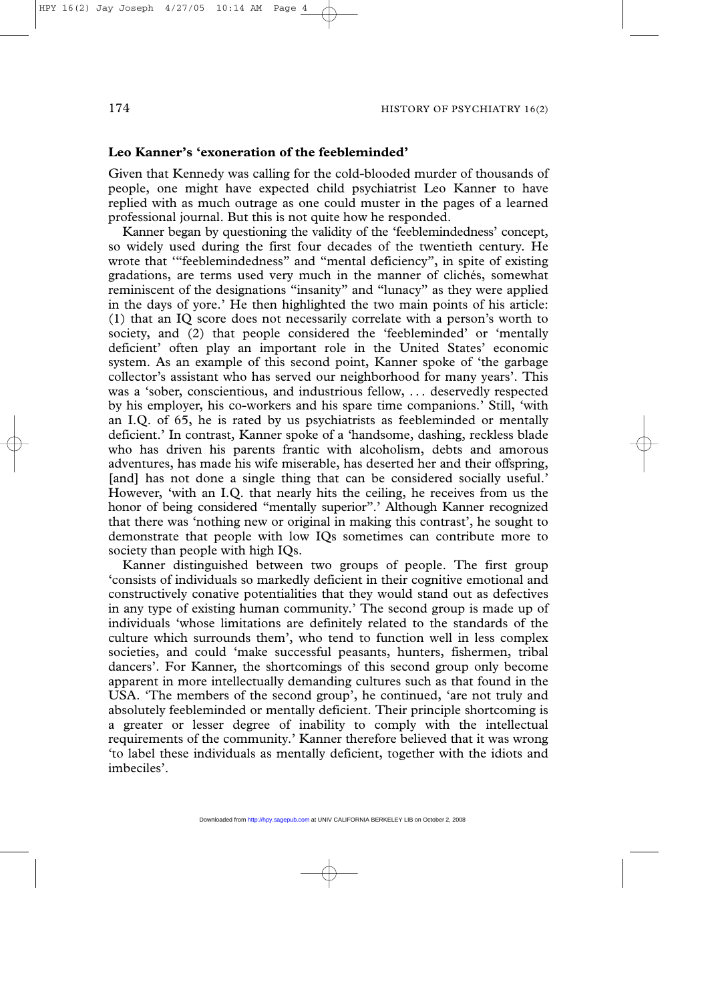### **Leo Kanner's 'exoneration of the feebleminded'**

Given that Kennedy was calling for the cold-blooded murder of thousands of people, one might have expected child psychiatrist Leo Kanner to have replied with as much outrage as one could muster in the pages of a learned professional journal. But this is not quite how he responded.

Kanner began by questioning the validity of the 'feeblemindedness' concept, so widely used during the first four decades of the twentieth century. He wrote that '"feeblemindedness" and "mental deficiency", in spite of existing gradations, are terms used very much in the manner of clichés, somewhat reminiscent of the designations "insanity" and "lunacy" as they were applied in the days of yore.' He then highlighted the two main points of his article: (1) that an IQ score does not necessarily correlate with a person's worth to society, and (2) that people considered the 'feebleminded' or 'mentally deficient' often play an important role in the United States' economic system. As an example of this second point, Kanner spoke of 'the garbage collector's assistant who has served our neighborhood for many years'. This was a 'sober, conscientious, and industrious fellow, . . . deservedly respected by his employer, his co-workers and his spare time companions.' Still, 'with an I.Q. of 65, he is rated by us psychiatrists as feebleminded or mentally deficient.' In contrast, Kanner spoke of a 'handsome, dashing, reckless blade who has driven his parents frantic with alcoholism, debts and amorous adventures, has made his wife miserable, has deserted her and their offspring, [and] has not done a single thing that can be considered socially useful.' However, 'with an I.Q. that nearly hits the ceiling, he receives from us the honor of being considered "mentally superior".' Although Kanner recognized that there was 'nothing new or original in making this contrast', he sought to demonstrate that people with low IQs sometimes can contribute more to society than people with high IQs.

Kanner distinguished between two groups of people. The first group 'consists of individuals so markedly deficient in their cognitive emotional and constructively conative potentialities that they would stand out as defectives in any type of existing human community.' The second group is made up of individuals 'whose limitations are definitely related to the standards of the culture which surrounds them', who tend to function well in less complex societies, and could 'make successful peasants, hunters, fishermen, tribal dancers'. For Kanner, the shortcomings of this second group only become apparent in more intellectually demanding cultures such as that found in the USA. 'The members of the second group', he continued, 'are not truly and absolutely feebleminded or mentally deficient. Their principle shortcoming is a greater or lesser degree of inability to comply with the intellectual requirements of the community.' Kanner therefore believed that it was wrong 'to label these individuals as mentally deficient, together with the idiots and imbeciles'.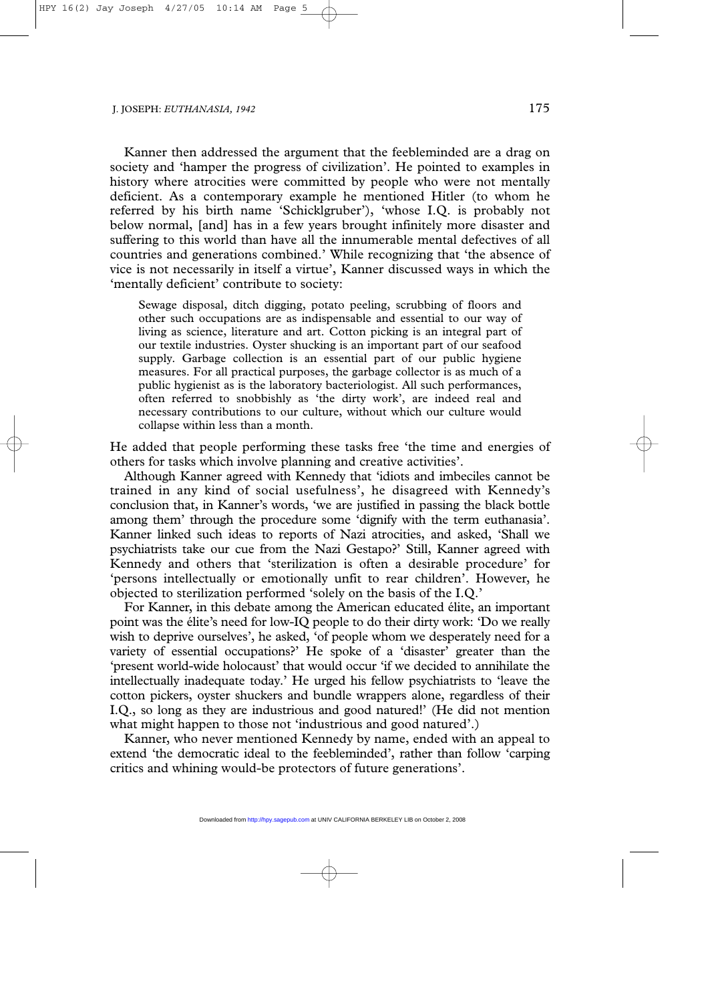Kanner then addressed the argument that the feebleminded are a drag on society and 'hamper the progress of civilization'. He pointed to examples in history where atrocities were committed by people who were not mentally deficient. As a contemporary example he mentioned Hitler (to whom he referred by his birth name 'Schicklgruber'), 'whose I.Q. is probably not below normal, [and] has in a few years brought infinitely more disaster and suffering to this world than have all the innumerable mental defectives of all countries and generations combined.' While recognizing that 'the absence of vice is not necessarily in itself a virtue', Kanner discussed ways in which the 'mentally deficient' contribute to society:

Sewage disposal, ditch digging, potato peeling, scrubbing of floors and other such occupations are as indispensable and essential to our way of living as science, literature and art. Cotton picking is an integral part of our textile industries. Oyster shucking is an important part of our seafood supply. Garbage collection is an essential part of our public hygiene measures. For all practical purposes, the garbage collector is as much of a public hygienist as is the laboratory bacteriologist. All such performances, often referred to snobbishly as 'the dirty work', are indeed real and necessary contributions to our culture, without which our culture would collapse within less than a month.

He added that people performing these tasks free 'the time and energies of others for tasks which involve planning and creative activities'.

Although Kanner agreed with Kennedy that 'idiots and imbeciles cannot be trained in any kind of social usefulness', he disagreed with Kennedy's conclusion that, in Kanner's words, 'we are justified in passing the black bottle among them' through the procedure some 'dignify with the term euthanasia'. Kanner linked such ideas to reports of Nazi atrocities, and asked, 'Shall we psychiatrists take our cue from the Nazi Gestapo?' Still, Kanner agreed with Kennedy and others that 'sterilization is often a desirable procedure' for 'persons intellectually or emotionally unfit to rear children'. However, he objected to sterilization performed 'solely on the basis of the I.Q.'

For Kanner, in this debate among the American educated élite, an important point was the élite's need for low-IQ people to do their dirty work: 'Do we really wish to deprive ourselves', he asked, 'of people whom we desperately need for a variety of essential occupations?' He spoke of a 'disaster' greater than the 'present world-wide holocaust' that would occur 'if we decided to annihilate the intellectually inadequate today.' He urged his fellow psychiatrists to 'leave the cotton pickers, oyster shuckers and bundle wrappers alone, regardless of their I.Q., so long as they are industrious and good natured!' (He did not mention what might happen to those not 'industrious and good natured'.)

Kanner, who never mentioned Kennedy by name, ended with an appeal to extend 'the democratic ideal to the feebleminded', rather than follow 'carping critics and whining would-be protectors of future generations'.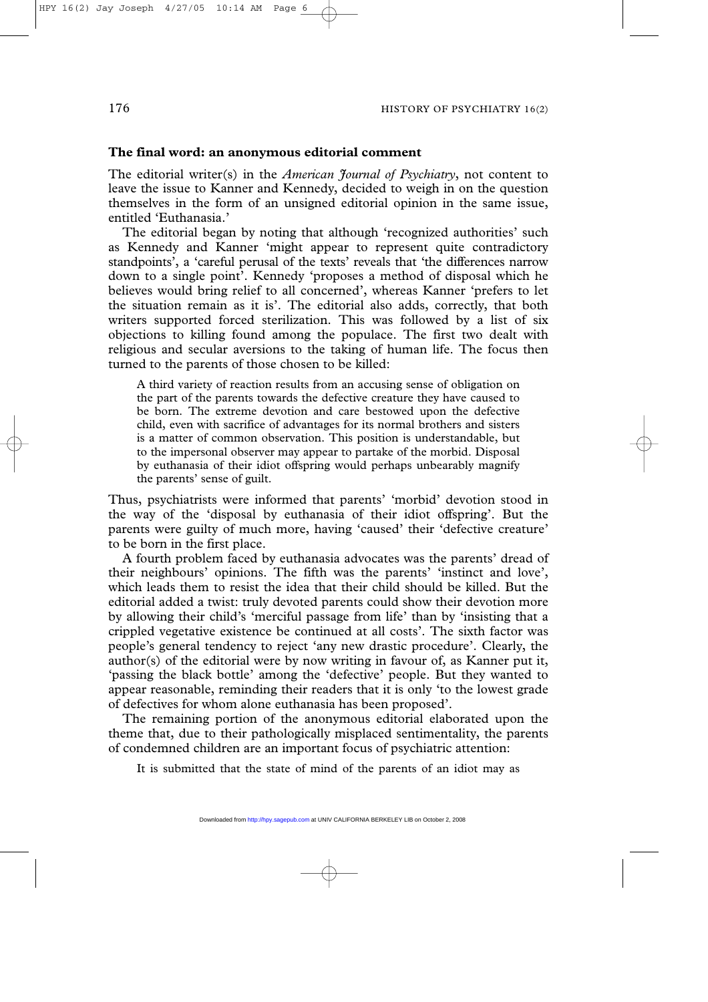#### **The final word: an anonymous editorial comment**

The editorial writer(s) in the *American Journal of Psychiatry*, not content to leave the issue to Kanner and Kennedy, decided to weigh in on the question themselves in the form of an unsigned editorial opinion in the same issue, entitled 'Euthanasia.'

The editorial began by noting that although 'recognized authorities' such as Kennedy and Kanner 'might appear to represent quite contradictory standpoints', a 'careful perusal of the texts' reveals that 'the differences narrow down to a single point'. Kennedy 'proposes a method of disposal which he believes would bring relief to all concerned', whereas Kanner 'prefers to let the situation remain as it is'. The editorial also adds, correctly, that both writers supported forced sterilization. This was followed by a list of six objections to killing found among the populace. The first two dealt with religious and secular aversions to the taking of human life. The focus then turned to the parents of those chosen to be killed:

A third variety of reaction results from an accusing sense of obligation on the part of the parents towards the defective creature they have caused to be born. The extreme devotion and care bestowed upon the defective child, even with sacrifice of advantages for its normal brothers and sisters is a matter of common observation. This position is understandable, but to the impersonal observer may appear to partake of the morbid. Disposal by euthanasia of their idiot offspring would perhaps unbearably magnify the parents' sense of guilt.

Thus, psychiatrists were informed that parents' 'morbid' devotion stood in the way of the 'disposal by euthanasia of their idiot offspring'. But the parents were guilty of much more, having 'caused' their 'defective creature' to be born in the first place.

A fourth problem faced by euthanasia advocates was the parents' dread of their neighbours' opinions. The fifth was the parents' 'instinct and love', which leads them to resist the idea that their child should be killed. But the editorial added a twist: truly devoted parents could show their devotion more by allowing their child's 'merciful passage from life' than by 'insisting that a crippled vegetative existence be continued at all costs'. The sixth factor was people's general tendency to reject 'any new drastic procedure'. Clearly, the author(s) of the editorial were by now writing in favour of, as Kanner put it, 'passing the black bottle' among the 'defective' people. But they wanted to appear reasonable, reminding their readers that it is only 'to the lowest grade of defectives for whom alone euthanasia has been proposed'.

The remaining portion of the anonymous editorial elaborated upon the theme that, due to their pathologically misplaced sentimentality, the parents of condemned children are an important focus of psychiatric attention:

It is submitted that the state of mind of the parents of an idiot may as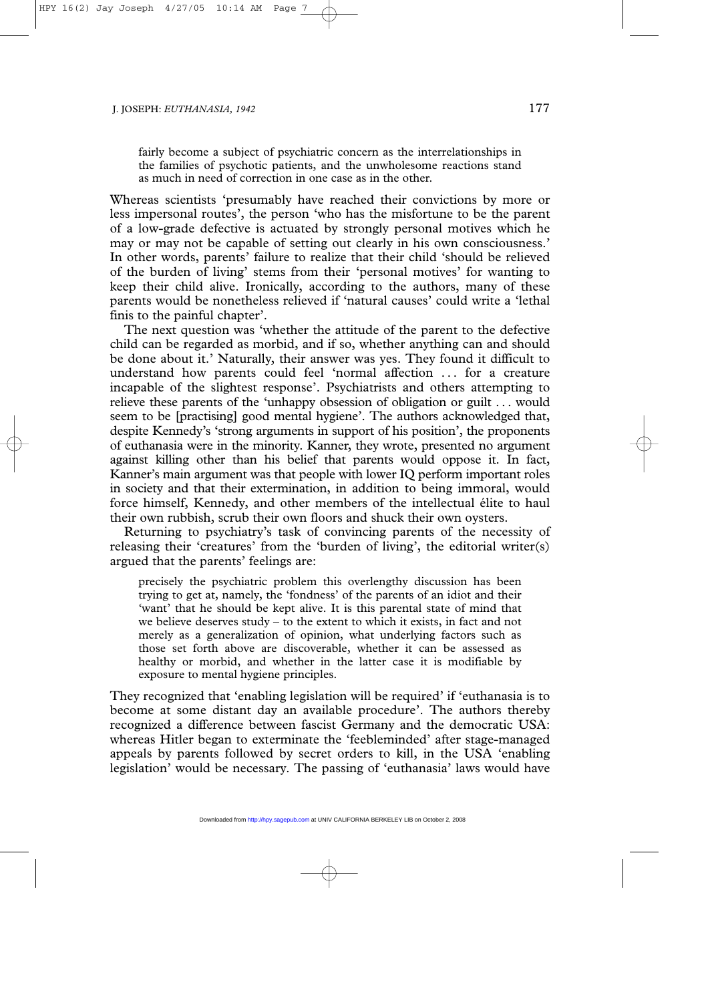fairly become a subject of psychiatric concern as the interrelationships in the families of psychotic patients, and the unwholesome reactions stand as much in need of correction in one case as in the other.

Whereas scientists 'presumably have reached their convictions by more or less impersonal routes', the person 'who has the misfortune to be the parent of a low-grade defective is actuated by strongly personal motives which he may or may not be capable of setting out clearly in his own consciousness.' In other words, parents' failure to realize that their child 'should be relieved of the burden of living' stems from their 'personal motives' for wanting to keep their child alive. Ironically, according to the authors, many of these parents would be nonetheless relieved if 'natural causes' could write a 'lethal finis to the painful chapter'.

The next question was 'whether the attitude of the parent to the defective child can be regarded as morbid, and if so, whether anything can and should be done about it.' Naturally, their answer was yes. They found it difficult to understand how parents could feel 'normal affection . . . for a creature incapable of the slightest response'. Psychiatrists and others attempting to relieve these parents of the 'unhappy obsession of obligation or guilt . . . would seem to be [practising] good mental hygiene'. The authors acknowledged that, despite Kennedy's 'strong arguments in support of his position', the proponents of euthanasia were in the minority. Kanner, they wrote, presented no argument against killing other than his belief that parents would oppose it. In fact, Kanner's main argument was that people with lower IQ perform important roles in society and that their extermination, in addition to being immoral, would force himself, Kennedy, and other members of the intellectual élite to haul their own rubbish, scrub their own floors and shuck their own oysters.

Returning to psychiatry's task of convincing parents of the necessity of releasing their 'creatures' from the 'burden of living', the editorial writer(s) argued that the parents' feelings are:

precisely the psychiatric problem this overlengthy discussion has been trying to get at, namely, the 'fondness' of the parents of an idiot and their 'want' that he should be kept alive. It is this parental state of mind that we believe deserves study – to the extent to which it exists, in fact and not merely as a generalization of opinion, what underlying factors such as those set forth above are discoverable, whether it can be assessed as healthy or morbid, and whether in the latter case it is modifiable by exposure to mental hygiene principles.

They recognized that 'enabling legislation will be required' if 'euthanasia is to become at some distant day an available procedure'. The authors thereby recognized a difference between fascist Germany and the democratic USA: whereas Hitler began to exterminate the 'feebleminded' after stage-managed appeals by parents followed by secret orders to kill, in the USA 'enabling legislation' would be necessary. The passing of 'euthanasia' laws would have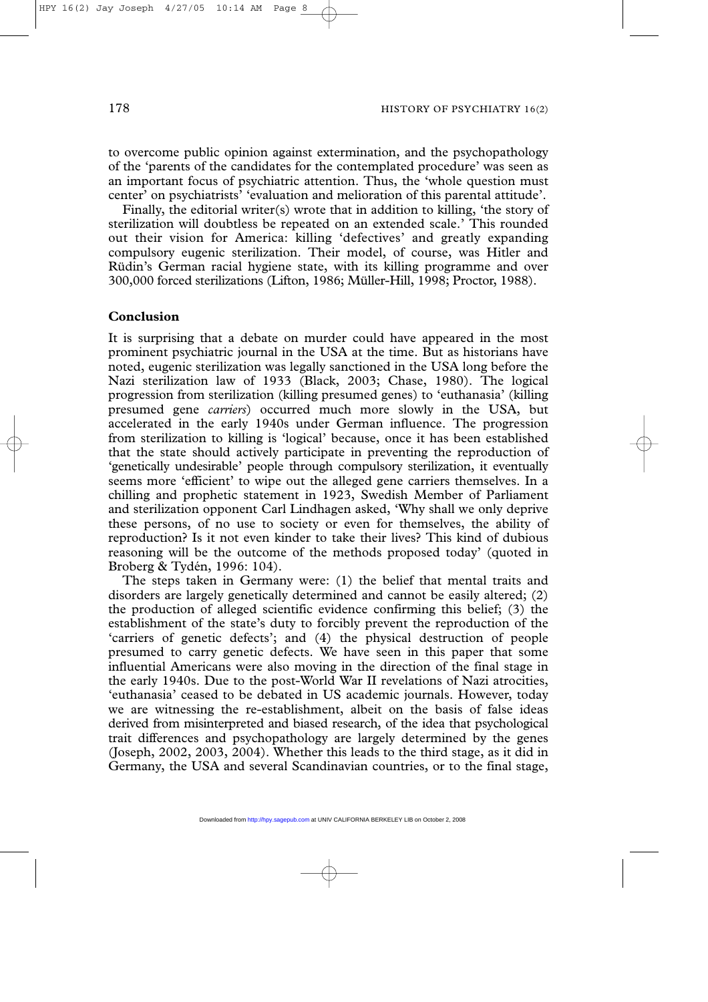to overcome public opinion against extermination, and the psychopathology of the 'parents of the candidates for the contemplated procedure' was seen as an important focus of psychiatric attention. Thus, the 'whole question must center' on psychiatrists' 'evaluation and melioration of this parental attitude'.

Finally, the editorial writer(s) wrote that in addition to killing, 'the story of sterilization will doubtless be repeated on an extended scale.' This rounded out their vision for America: killing 'defectives' and greatly expanding compulsory eugenic sterilization. Their model, of course, was Hitler and Rüdin's German racial hygiene state, with its killing programme and over 300,000 forced sterilizations (Lifton, 1986; Müller-Hill, 1998; Proctor, 1988).

## **Conclusion**

It is surprising that a debate on murder could have appeared in the most prominent psychiatric journal in the USA at the time. But as historians have noted, eugenic sterilization was legally sanctioned in the USA long before the Nazi sterilization law of 1933 (Black, 2003; Chase, 1980). The logical progression from sterilization (killing presumed genes) to 'euthanasia' (killing presumed gene *carriers*) occurred much more slowly in the USA, but accelerated in the early 1940s under German influence. The progression from sterilization to killing is 'logical' because, once it has been established that the state should actively participate in preventing the reproduction of 'genetically undesirable' people through compulsory sterilization, it eventually seems more 'efficient' to wipe out the alleged gene carriers themselves. In a chilling and prophetic statement in 1923, Swedish Member of Parliament and sterilization opponent Carl Lindhagen asked, 'Why shall we only deprive these persons, of no use to society or even for themselves, the ability of reproduction? Is it not even kinder to take their lives? This kind of dubious reasoning will be the outcome of the methods proposed today' (quoted in Broberg & Tydén, 1996: 104).

The steps taken in Germany were: (1) the belief that mental traits and disorders are largely genetically determined and cannot be easily altered; (2) the production of alleged scientific evidence confirming this belief; (3) the establishment of the state's duty to forcibly prevent the reproduction of the 'carriers of genetic defects'; and (4) the physical destruction of people presumed to carry genetic defects. We have seen in this paper that some influential Americans were also moving in the direction of the final stage in the early 1940s. Due to the post-World War II revelations of Nazi atrocities, 'euthanasia' ceased to be debated in US academic journals. However, today we are witnessing the re-establishment, albeit on the basis of false ideas derived from misinterpreted and biased research, of the idea that psychological trait differences and psychopathology are largely determined by the genes (Joseph, 2002, 2003, 2004). Whether this leads to the third stage, as it did in Germany, the USA and several Scandinavian countries, or to the final stage,